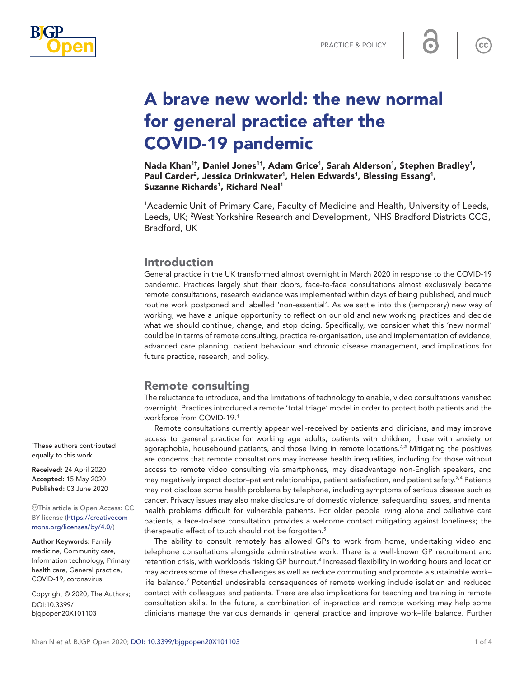



# A brave new world: the new normal for general practice after the COVID-19 pandemic

Nada Khan<sup>1†</sup>, Daniel Jones<sup>1†</sup>, Adam Grice<sup>1</sup>, Sarah Alderson<sup>1</sup>, Stephen Bradley<sup>1</sup>, Paul Carder<sup>2</sup>, Jessica Drinkwater<sup>1</sup>, Helen Edwards<sup>1</sup>, Blessing Essang<sup>1</sup>, Suzanne Richards<sup>1</sup>, Richard Neal<sup>1</sup>

<sup>1</sup> Academic Unit of Primary Care, Faculty of Medicine and Health, University of Leeds, Leeds, UK; <sup>2</sup>West Yorkshire Research and Development, NHS Bradford Districts CCG, Bradford, UK

### Introduction

General practice in the UK transformed almost overnight in March 2020 in response to the COVID-19 pandemic. Practices largely shut their doors, face-to-face consultations almost exclusively became remote consultations, research evidence was implemented within days of being published, and much routine work postponed and labelled 'non-essential'. As we settle into this (temporary) new way of working, we have a unique opportunity to reflect on our old and new working practices and decide what we should continue, change, and stop doing. Specifically, we consider what this 'new normal' could be in terms of remote consulting, practice re-organisation, use and implementation of evidence, advanced care planning, patient behaviour and chronic disease management, and implications for future practice, research, and policy.

## Remote consulting

The reluctance to introduce, and the limitations of technology to enable, video consultations vanished overnight. Practices introduced a remote 'total triage' model in order to protect both patients and the workforce from COVID-19.*[1](#page-2-0)*

Remote consultations currently appear well-received by patients and clinicians, and may improve access to general practice for working age adults, patients with children, those with anxiety or agoraphobia, housebound patients, and those living in remote locations.*[2,3](#page-2-1)* Mitigating the positives are concerns that remote consultations may increase health inequalities, including for those without access to remote video consulting via smartphones, may disadvantage non-English speakers, and may negatively impact doctor–patient relationships, patient satisfaction, and patient safety.*[2,4](#page-2-1)* Patients may not disclose some health problems by telephone, including symptoms of serious disease such as cancer. Privacy issues may also make disclosure of domestic violence, safeguarding issues, and mental health problems difficult for vulnerable patients. For older people living alone and palliative care patients, a face-to-face consultation provides a welcome contact mitigating against loneliness; the therapeutic effect of touch should not be forgotten.*[5](#page-2-2)*

The ability to consult remotely has allowed GPs to work from home, undertaking video and telephone consultations alongside administrative work. There is a well-known GP recruitment and retention crisis, with workloads risking GP burnout.*[6](#page-2-3)* Increased flexibility in working hours and location may address some of these challenges as well as reduce commuting and promote a sustainable work– life balance.<sup>[7](#page-2-4)</sup> Potential undesirable consequences of remote working include isolation and reduced contact with colleagues and patients. There are also implications for teaching and training in remote consultation skills. In the future, a combination of in-practice and remote working may help some clinicians manage the various demands in general practice and improve work–life balance. Further

† These authors contributed equally to this work

Received: 24 April 2020 Accepted: 15 May 2020 Published: 03 June 2020

This article is Open Access: CC BY license [\(https://creativecom](https://creativecommons.org/licenses/by/4.0/)[mons.org/licenses/by/4.0/\)](https://creativecommons.org/licenses/by/4.0/)

Author Keywords: Family medicine, Community care, Information technology, Primary health care, General practice, COVID-19, coronavirus

Copyright © 2020, The Authors; DOI:10.3399/ bjgpopen20X101103

 $cc$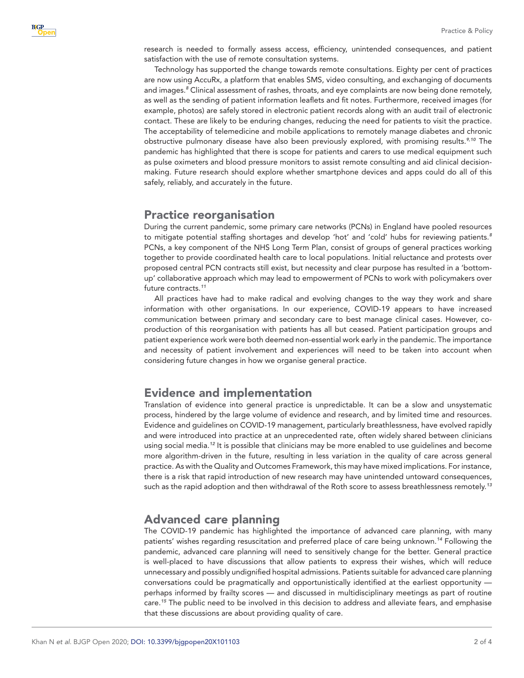research is needed to formally assess access, efficiency, unintended consequences, and patient satisfaction with the use of remote consultation systems.

Technology has supported the change towards remote consultations. Eighty per cent of practices are now using AccuRx, a platform that enables SMS, video consulting, and exchanging of documents and images.*[8](#page-2-5)* Clinical assessment of rashes, throats, and eye complaints are now being done remotely, as well as the sending of patient information leaflets and fit notes. Furthermore, received images (for example, photos) are safely stored in electronic patient records along with an audit trail of electronic contact. These are likely to be enduring changes, reducing the need for patients to visit the practice. The acceptability of telemedicine and mobile applications to remotely manage diabetes and chronic obstructive pulmonary disease have also been previously explored, with promising results.*[9,10](#page-3-0)* The pandemic has highlighted that there is scope for patients and carers to use medical equipment such as pulse oximeters and blood pressure monitors to assist remote consulting and aid clinical decisionmaking. Future research should explore whether smartphone devices and apps could do all of this safely, reliably, and accurately in the future.

#### Practice reorganisation

During the current pandemic, some primary care networks (PCNs) in England have pooled resources to mitigate potential staffing shortages and develop 'hot' and 'cold' hubs for reviewing patients.*[8](#page-2-5)* PCNs, a key component of the NHS Long Term Plan, consist of groups of general practices working together to provide coordinated health care to local populations. Initial reluctance and protests over proposed central PCN contracts still exist, but necessity and clear purpose has resulted in a 'bottomup' collaborative approach which may lead to empowerment of PCNs to work with policymakers over future contracts.*[11](#page-3-1)*

All practices have had to make radical and evolving changes to the way they work and share information with other organisations. In our experience, COVID-19 appears to have increased communication between primary and secondary care to best manage clinical cases. However, coproduction of this reorganisation with patients has all but ceased. Patient participation groups and patient experience work were both deemed non-essential work early in the pandemic. The importance and necessity of patient involvement and experiences will need to be taken into account when considering future changes in how we organise general practice.

## Evidence and implementation

Translation of evidence into general practice is unpredictable. It can be a slow and unsystematic process, hindered by the large volume of evidence and research, and by limited time and resources. Evidence and guidelines on COVID-19 management, particularly breathlessness, have evolved rapidly and were introduced into practice at an unprecedented rate, often widely shared between clinicians using social media.*[12](#page-3-2)* It is possible that clinicians may be more enabled to use guidelines and become more algorithm-driven in the future, resulting in less variation in the quality of care across general practice. As with the Quality and Outcomes Framework, this may have mixed implications. For instance, there is a risk that rapid introduction of new research may have unintended untoward consequences, such as the rapid adoption and then withdrawal of the Roth score to assess breathlessness remotely.*[13](#page-3-3)*

# Advanced care planning

The COVID-19 pandemic has highlighted the importance of advanced care planning, with many patients' wishes regarding resuscitation and preferred place of care being unknown.*[14](#page-3-4)* Following the pandemic, advanced care planning will need to sensitively change for the better. General practice is well-placed to have discussions that allow patients to express their wishes, which will reduce unnecessary and possibly undignified hospital admissions. Patients suitable for advanced care planning conversations could be pragmatically and opportunistically identified at the earliest opportunity perhaps informed by frailty scores — and discussed in multidisciplinary meetings as part of routine care.*[15](#page-3-5)* The public need to be involved in this decision to address and alleviate fears, and emphasise that these discussions are about providing quality of care.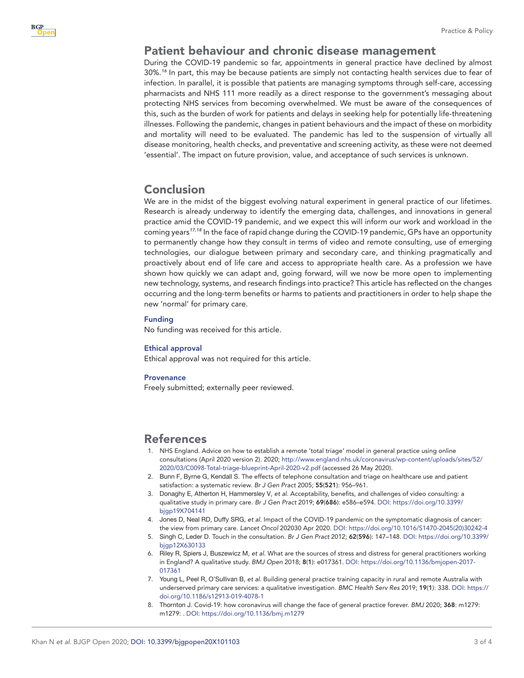## Patient behaviour and chronic disease management

During the COVID-19 pandemic so far, appointments in general practice have declined by almost 30%.*[16](#page-3-6)* In part, this may be because patients are simply not contacting health services due to fear of infection. In parallel, it is possible that patients are managing symptoms through self-care, accessing pharmacists and NHS 111 more readily as a direct response to the government's messaging about protecting NHS services from becoming overwhelmed. We must be aware of the consequences of this, such as the burden of work for patients and delays in seeking help for potentially life-threatening illnesses. Following the pandemic, changes in patient behaviours and the impact of these on morbidity and mortality will need to be evaluated. The pandemic has led to the suspension of virtually all disease monitoring, health checks, and preventative and screening activity, as these were not deemed 'essential'. The impact on future provision, value, and acceptance of such services is unknown.

# Conclusion

We are in the midst of the biggest evolving natural experiment in general practice of our lifetimes. Research is already underway to identify the emerging data, challenges, and innovations in general practice amid the COVID-19 pandemic, and we expect this will inform our work and workload in the coming years*[17,18](#page-3-7)* In the face of rapid change during the COVID-19 pandemic, GPs have an opportunity to permanently change how they consult in terms of video and remote consulting, use of emerging technologies, our dialogue between primary and secondary care, and thinking pragmatically and proactively about end of life care and access to appropriate health care. As a profession we have shown how quickly we can adapt and, going forward, will we now be more open to implementing new technology, systems, and research findings into practice? This article has reflected on the changes occurring and the long-term benefits or harms to patients and practitioners in order to help shape the new 'normal' for primary care.

#### Funding

No funding was received for this article.

#### Ethical approval

Ethical approval was not required for this article.

#### **Provenance**

Freely submitted; externally peer reviewed.

### References

- <span id="page-2-0"></span>1. NHS England. Advice on how to establish a remote 'total triage' model in general practice using online consultations (April 2020 version 2). 2020; [http://www.england.nhs.uk/coronavirus/wp-content/uploads/sites/52/](http://www.england.nhs.uk/coronavirus/wp-content/uploads/sites/52/2020/03/C0098-Total-triage-blueprint-April-2020-v2.pdf) [2020/03/C0098-Total-triage-blueprint-April-2020-v2.pdf](http://www.england.nhs.uk/coronavirus/wp-content/uploads/sites/52/2020/03/C0098-Total-triage-blueprint-April-2020-v2.pdf) (accessed 26 May 2020).
- <span id="page-2-1"></span>2. Bunn F, Byrne G, Kendall S. The effects of telephone consultation and triage on healthcare use and patient satisfaction: a systematic review. *Br J Gen Pract* 2005; 55(521): 956–961.
- 3. Donaghy E, Atherton H, Hammersley V, *et al*. Acceptability, benefits, and challenges of video consulting: a qualitative study in primary care. *Br J Gen Pract* 2019; 69(686): e586–e594. DOI: [https://doi.org/10.3399/](https://doi.org/10.3399/bjgp19X704141) [bjgp19X704141](https://doi.org/10.3399/bjgp19X704141)
- 4. Jones D, Neal RD, Duffy SRG, *et al*. Impact of the COVID-19 pandemic on the symptomatic diagnosis of cancer: the view from primary care. *Lancet Oncol* 202030 Apr 2020. DOI: [https://doi.org/10.1016/S1470-2045\(20\)30242-4](https://doi.org/10.1016/S1470-2045(20)30242-4)
- <span id="page-2-2"></span>5. Singh C, Leder D. Touch in the consultation. *Br J Gen Pract* 2012; 62(596): 147–148. DOI: [https://doi.org/10.3399/](https://doi.org/10.3399/bjgp12X630133) [bjgp12X630133](https://doi.org/10.3399/bjgp12X630133)
- <span id="page-2-3"></span>6. Riley R, Spiers J, Buszewicz M, *et al*. What are the sources of stress and distress for general practitioners working in England? A qualitative study. *BMJ Open* 2018; 8(1): e017361. DOI: [https://doi.org/10.1136/bmjopen-2017-](https://doi.org/10.1136/bmjopen-2017-017361) [017361](https://doi.org/10.1136/bmjopen-2017-017361)
- <span id="page-2-4"></span>7. Young L, Peel R, O'Sullivan B, *et al*. Building general practice training capacity in rural and remote Australia with underserved primary care services: a qualitative investigation. *BMC Health Serv Res* 2019; 19(1): 338. DOI: [https://](https://doi.org/10.1186/s12913-019-4078-1) [doi.org/10.1186/s12913-019-4078-1](https://doi.org/10.1186/s12913-019-4078-1)
- <span id="page-2-5"></span>8. Thornton J. Covid-19: how coronavirus will change the face of general practice forever. *BMJ* 2020; 368: m1279: m1279: . DOI: <https://doi.org/10.1136/bmj.m1279>